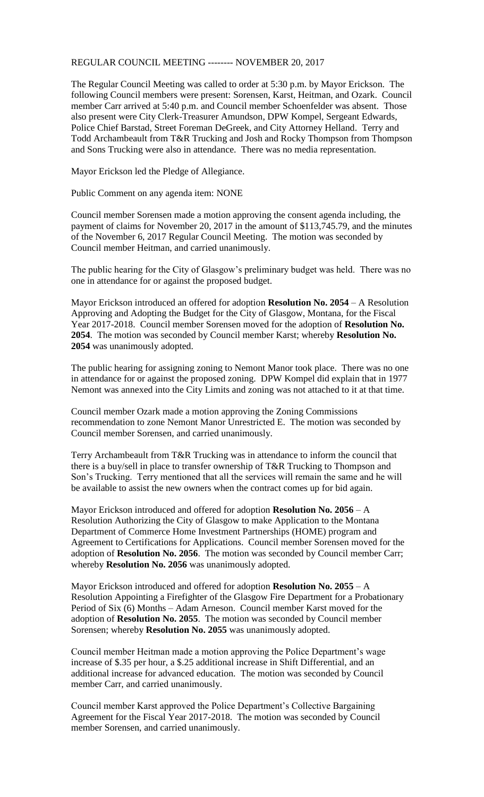REGULAR COUNCIL MEETING -------- NOVEMBER 20, 2017

The Regular Council Meeting was called to order at 5:30 p.m. by Mayor Erickson. The following Council members were present: Sorensen, Karst, Heitman, and Ozark. Council member Carr arrived at 5:40 p.m. and Council member Schoenfelder was absent. Those also present were City Clerk-Treasurer Amundson, DPW Kompel, Sergeant Edwards, Police Chief Barstad, Street Foreman DeGreek, and City Attorney Helland. Terry and Todd Archambeault from T&R Trucking and Josh and Rocky Thompson from Thompson and Sons Trucking were also in attendance. There was no media representation.

Mayor Erickson led the Pledge of Allegiance.

Public Comment on any agenda item: NONE

Council member Sorensen made a motion approving the consent agenda including, the payment of claims for November 20, 2017 in the amount of \$113,745.79, and the minutes of the November 6, 2017 Regular Council Meeting. The motion was seconded by Council member Heitman, and carried unanimously.

The public hearing for the City of Glasgow's preliminary budget was held. There was no one in attendance for or against the proposed budget.

Mayor Erickson introduced an offered for adoption **Resolution No. 2054** – A Resolution Approving and Adopting the Budget for the City of Glasgow, Montana, for the Fiscal Year 2017-2018. Council member Sorensen moved for the adoption of **Resolution No. 2054**. The motion was seconded by Council member Karst; whereby **Resolution No. 2054** was unanimously adopted.

The public hearing for assigning zoning to Nemont Manor took place. There was no one in attendance for or against the proposed zoning. DPW Kompel did explain that in 1977 Nemont was annexed into the City Limits and zoning was not attached to it at that time.

Council member Ozark made a motion approving the Zoning Commissions recommendation to zone Nemont Manor Unrestricted E. The motion was seconded by Council member Sorensen, and carried unanimously.

Terry Archambeault from T&R Trucking was in attendance to inform the council that there is a buy/sell in place to transfer ownership of T&R Trucking to Thompson and Son's Trucking. Terry mentioned that all the services will remain the same and he will be available to assist the new owners when the contract comes up for bid again.

Mayor Erickson introduced and offered for adoption **Resolution No. 2056** – A Resolution Authorizing the City of Glasgow to make Application to the Montana Department of Commerce Home Investment Partnerships (HOME) program and Agreement to Certifications for Applications. Council member Sorensen moved for the adoption of **Resolution No. 2056**. The motion was seconded by Council member Carr; whereby **Resolution No. 2056** was unanimously adopted.

Mayor Erickson introduced and offered for adoption **Resolution No. 2055** – A Resolution Appointing a Firefighter of the Glasgow Fire Department for a Probationary Period of Six (6) Months – Adam Arneson. Council member Karst moved for the adoption of **Resolution No. 2055**. The motion was seconded by Council member Sorensen; whereby **Resolution No. 2055** was unanimously adopted.

Council member Heitman made a motion approving the Police Department's wage increase of \$.35 per hour, a \$.25 additional increase in Shift Differential, and an additional increase for advanced education. The motion was seconded by Council member Carr, and carried unanimously.

Council member Karst approved the Police Department's Collective Bargaining Agreement for the Fiscal Year 2017-2018. The motion was seconded by Council member Sorensen, and carried unanimously.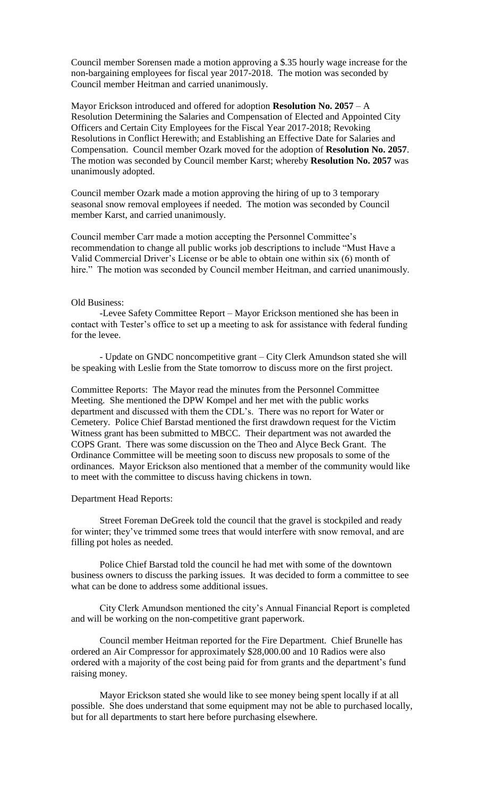Council member Sorensen made a motion approving a \$.35 hourly wage increase for the non-bargaining employees for fiscal year 2017-2018. The motion was seconded by Council member Heitman and carried unanimously.

Mayor Erickson introduced and offered for adoption **Resolution No. 2057** – A Resolution Determining the Salaries and Compensation of Elected and Appointed City Officers and Certain City Employees for the Fiscal Year 2017-2018; Revoking Resolutions in Conflict Herewith; and Establishing an Effective Date for Salaries and Compensation. Council member Ozark moved for the adoption of **Resolution No. 2057**. The motion was seconded by Council member Karst; whereby **Resolution No. 2057** was unanimously adopted.

Council member Ozark made a motion approving the hiring of up to 3 temporary seasonal snow removal employees if needed. The motion was seconded by Council member Karst, and carried unanimously.

Council member Carr made a motion accepting the Personnel Committee's recommendation to change all public works job descriptions to include "Must Have a Valid Commercial Driver's License or be able to obtain one within six (6) month of hire." The motion was seconded by Council member Heitman, and carried unanimously.

## Old Business:

-Levee Safety Committee Report – Mayor Erickson mentioned she has been in contact with Tester's office to set up a meeting to ask for assistance with federal funding for the levee.

- Update on GNDC noncompetitive grant – City Clerk Amundson stated she will be speaking with Leslie from the State tomorrow to discuss more on the first project.

Committee Reports: The Mayor read the minutes from the Personnel Committee Meeting. She mentioned the DPW Kompel and her met with the public works department and discussed with them the CDL's. There was no report for Water or Cemetery. Police Chief Barstad mentioned the first drawdown request for the Victim Witness grant has been submitted to MBCC. Their department was not awarded the COPS Grant. There was some discussion on the Theo and Alyce Beck Grant. The Ordinance Committee will be meeting soon to discuss new proposals to some of the ordinances. Mayor Erickson also mentioned that a member of the community would like to meet with the committee to discuss having chickens in town.

## Department Head Reports:

Street Foreman DeGreek told the council that the gravel is stockpiled and ready for winter; they've trimmed some trees that would interfere with snow removal, and are filling pot holes as needed.

Police Chief Barstad told the council he had met with some of the downtown business owners to discuss the parking issues. It was decided to form a committee to see what can be done to address some additional issues.

City Clerk Amundson mentioned the city's Annual Financial Report is completed and will be working on the non-competitive grant paperwork.

Council member Heitman reported for the Fire Department. Chief Brunelle has ordered an Air Compressor for approximately \$28,000.00 and 10 Radios were also ordered with a majority of the cost being paid for from grants and the department's fund raising money.

Mayor Erickson stated she would like to see money being spent locally if at all possible. She does understand that some equipment may not be able to purchased locally, but for all departments to start here before purchasing elsewhere.